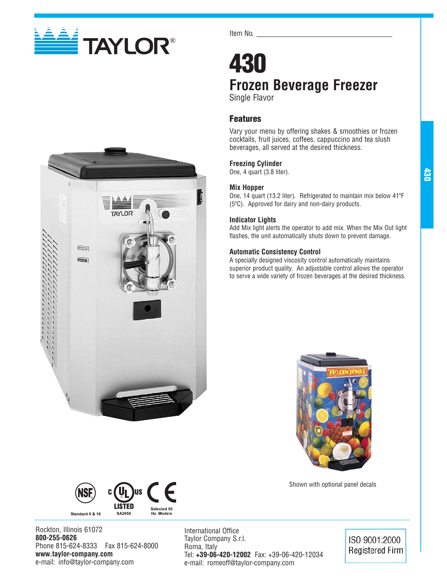

**Com**  $\overline{\phantom{a}}$  Item No.

## **430 Frozen Beverage Freezer** Single Flavor

**Features**

Vary your menu by offering shakes & smoothies or frozen cocktails, fruit juices, coffees, cappuccino and tea slush beverages, all served at the desired thickness.

#### **Freezing Cylinder**

One, 4 quart (3.8 liter).

#### **Mix Hopper**

One, 14 quart (13.2 liter). Refrigerated to maintain mix below 41ºF (5ºC). Approved for dairy and non-dairy products.

**430**

#### **Indicator Lights**

Add Mix light alerts the operator to add mix. When the Mix Out light flashes, the unit automatically shuts down to prevent damage.

#### **Automatic Consistency Control**

A specially designed viscosity control automatically maintains superior product quality. An adjustable control allows the operator to serve a wide variety of frozen beverages at the desired thickness.



Shown with optional panel decals



Rockton, Illinois 61072 **800-255-0626** Phone 815-624-8333 Fax 815-624-8000 **www.taylor-company.com** e-mail: info@taylor-company.com

International Office Taylor Company S.r.l. Roma, Italy Tel: **+39-06-420-12002** Fax: +39-06-420-12034 e-mail: romeoff@taylor-company.com

## ISO 9001:2000 **Registered Firm**